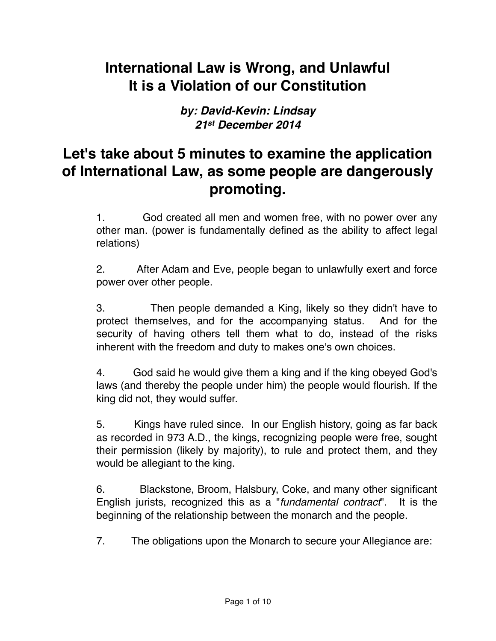# **International Law is Wrong, and Unlawful It is a Violation of our Constitution**

*by: David-Kevin: Lindsay 21st December 2014*

### **Let's take about 5 minutes to examine the application of International Law, as some people are dangerously promoting.**

1. God created all men and women free, with no power over any other man. (power is fundamentally defined as the ability to affect legal relations)

2. After Adam and Eve, people began to unlawfully exert and force power over other people.

3. Then people demanded a King, likely so they didn't have to protect themselves, and for the accompanying status. And for the security of having others tell them what to do, instead of the risks inherent with the freedom and duty to makes one's own choices.

4. God said he would give them a king and if the king obeyed God's laws (and thereby the people under him) the people would flourish. If the king did not, they would suffer.

5. Kings have ruled since. In our English history, going as far back as recorded in 973 A.D., the kings, recognizing people were free, sought their permission (likely by majority), to rule and protect them, and they would be allegiant to the king.

6. Blackstone, Broom, Halsbury, Coke, and many other significant English jurists, recognized this as a "*fundamental contract*". It is the beginning of the relationship between the monarch and the people.

7. The obligations upon the Monarch to secure your Allegiance are: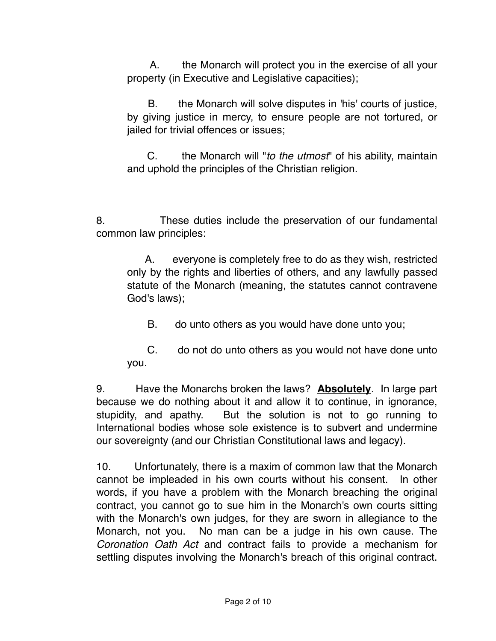A. the Monarch will protect you in the exercise of all your property (in Executive and Legislative capacities);

 B. the Monarch will solve disputes in 'his' courts of justice, by giving justice in mercy, to ensure people are not tortured, or jailed for trivial offences or issues;

 C. the Monarch will "*to the utmost*" of his ability, maintain and uphold the principles of the Christian religion.

8. These duties include the preservation of our fundamental common law principles:

A. everyone is completely free to do as they wish, restricted only by the rights and liberties of others, and any lawfully passed statute of the Monarch (meaning, the statutes cannot contravene God's laws);

B. do unto others as you would have done unto you;

 C. do not do unto others as you would not have done unto you.

9. Have the Monarchs broken the laws? **Absolutely**. In large part because we do nothing about it and allow it to continue, in ignorance, stupidity, and apathy. But the solution is not to go running to International bodies whose sole existence is to subvert and undermine our sovereignty (and our Christian Constitutional laws and legacy).

10. Unfortunately, there is a maxim of common law that the Monarch cannot be impleaded in his own courts without his consent. In other words, if you have a problem with the Monarch breaching the original contract, you cannot go to sue him in the Monarch's own courts sitting with the Monarch's own judges, for they are sworn in allegiance to the Monarch, not you. No man can be a judge in his own cause. The *Coronation Oath Act* and contract fails to provide a mechanism for settling disputes involving the Monarch's breach of this original contract.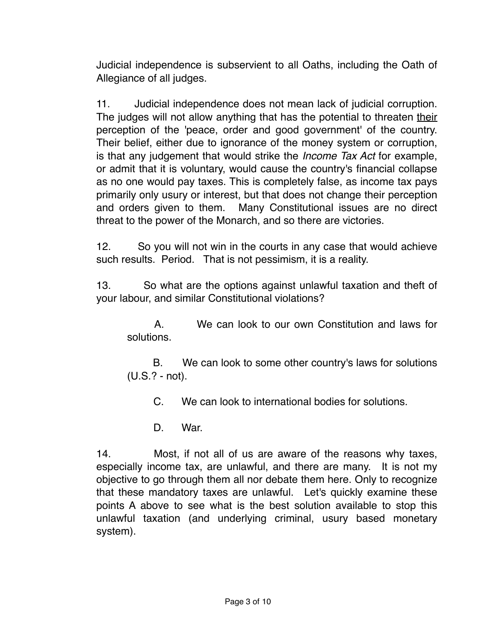Judicial independence is subservient to all Oaths, including the Oath of Allegiance of all judges.

11. Judicial independence does not mean lack of judicial corruption. The judges will not allow anything that has the potential to threaten their perception of the 'peace, order and good government' of the country. Their belief, either due to ignorance of the money system or corruption, is that any judgement that would strike the *Income Tax Act* for example, or admit that it is voluntary, would cause the country's financial collapse as no one would pay taxes. This is completely false, as income tax pays primarily only usury or interest, but that does not change their perception and orders given to them. Many Constitutional issues are no direct threat to the power of the Monarch, and so there are victories.

12. So you will not win in the courts in any case that would achieve such results. Period. That is not pessimism, it is a reality.

13. So what are the options against unlawful taxation and theft of your labour, and similar Constitutional violations?

 A. We can look to our own Constitution and laws for solutions.

B. We can look to some other country's laws for solutions (U.S.? - not).

C. We can look to international bodies for solutions.

D. War.

14. Most, if not all of us are aware of the reasons why taxes, especially income tax, are unlawful, and there are many. It is not my objective to go through them all nor debate them here. Only to recognize that these mandatory taxes are unlawful. Let's quickly examine these points A above to see what is the best solution available to stop this unlawful taxation (and underlying criminal, usury based monetary system).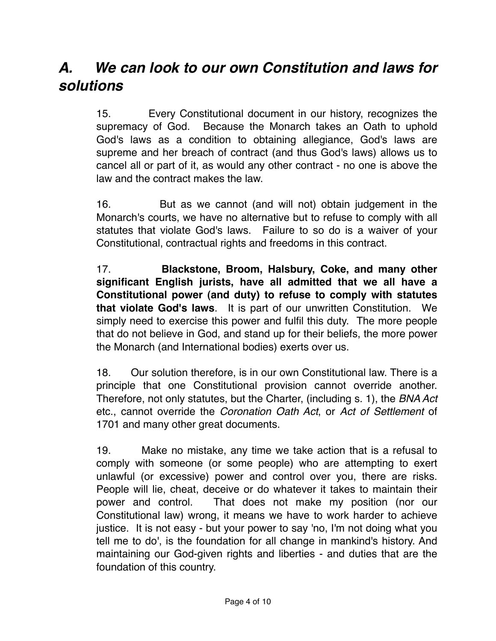### *A.*  *We can look to our own Constitution and laws for solutions*

15. Every Constitutional document in our history, recognizes the supremacy of God. Because the Monarch takes an Oath to uphold God's laws as a condition to obtaining allegiance, God's laws are supreme and her breach of contract (and thus God's laws) allows us to cancel all or part of it, as would any other contract - no one is above the law and the contract makes the law.

16. But as we cannot (and will not) obtain judgement in the Monarch's courts, we have no alternative but to refuse to comply with all statutes that violate God's laws. Failure to so do is a waiver of your Constitutional, contractual rights and freedoms in this contract.

17. **Blackstone, Broom, Halsbury, Coke, and many other significant English jurists, have all admitted that we all have a Constitutional power (and duty) to refuse to comply with statutes that violate God's laws**. It is part of our unwritten Constitution. We simply need to exercise this power and fulfil this duty. The more people that do not believe in God, and stand up for their beliefs, the more power the Monarch (and International bodies) exerts over us.

18. Our solution therefore, is in our own Constitutional law. There is a principle that one Constitutional provision cannot override another. Therefore, not only statutes, but the Charter, (including s. 1), the *BNA Act* etc., cannot override the *Coronation Oath Act*, or *Act of Settlement* of 1701 and many other great documents.

19. Make no mistake, any time we take action that is a refusal to comply with someone (or some people) who are attempting to exert unlawful (or excessive) power and control over you, there are risks. People will lie, cheat, deceive or do whatever it takes to maintain their power and control. That does not make my position (nor our Constitutional law) wrong, it means we have to work harder to achieve justice. It is not easy - but your power to say 'no, I'm not doing what you tell me to do', is the foundation for all change in mankind's history. And maintaining our God-given rights and liberties - and duties that are the foundation of this country.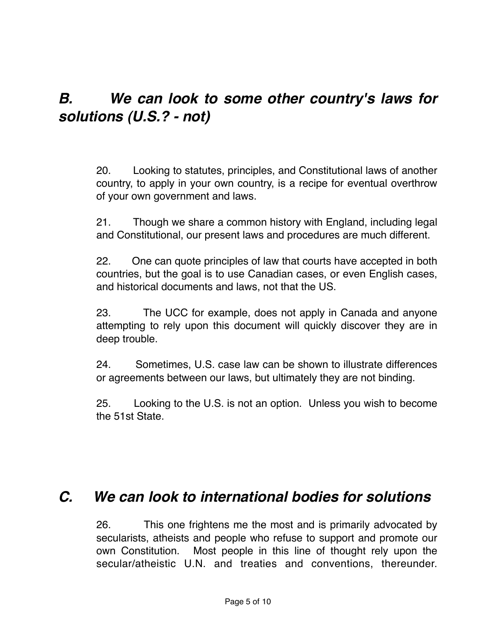# *B.* *We can look to some other country's laws for solutions (U.S.? - not)*

20. Looking to statutes, principles, and Constitutional laws of another country, to apply in your own country, is a recipe for eventual overthrow of your own government and laws.

21. Though we share a common history with England, including legal and Constitutional, our present laws and procedures are much different.

22. One can quote principles of law that courts have accepted in both countries, but the goal is to use Canadian cases, or even English cases, and historical documents and laws, not that the US.

23. The UCC for example, does not apply in Canada and anyone attempting to rely upon this document will quickly discover they are in deep trouble.

24. Sometimes, U.S. case law can be shown to illustrate differences or agreements between our laws, but ultimately they are not binding.

25. Looking to the U.S. is not an option. Unless you wish to become the 51st State.

### *C.*  *We can look to international bodies for solutions*

26. This one frightens me the most and is primarily advocated by secularists, atheists and people who refuse to support and promote our own Constitution. Most people in this line of thought rely upon the secular/atheistic U.N. and treaties and conventions, thereunder.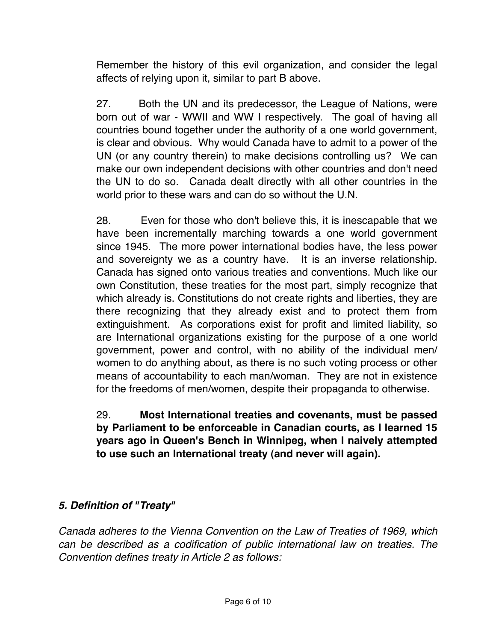Remember the history of this evil organization, and consider the legal affects of relying upon it, similar to part B above.

27. Both the UN and its predecessor, the League of Nations, were born out of war - WWII and WW I respectively. The goal of having all countries bound together under the authority of a one world government, is clear and obvious. Why would Canada have to admit to a power of the UN (or any country therein) to make decisions controlling us? We can make our own independent decisions with other countries and don't need the UN to do so. Canada dealt directly with all other countries in the world prior to these wars and can do so without the U.N.

28. Even for those who don't believe this, it is inescapable that we have been incrementally marching towards a one world government since 1945. The more power international bodies have, the less power and sovereignty we as a country have. It is an inverse relationship. Canada has signed onto various treaties and conventions. Much like our own Constitution, these treaties for the most part, simply recognize that which already is. Constitutions do not create rights and liberties, they are there recognizing that they already exist and to protect them from extinguishment. As corporations exist for profit and limited liability, so are International organizations existing for the purpose of a one world government, power and control, with no ability of the individual men/ women to do anything about, as there is no such voting process or other means of accountability to each man/woman. They are not in existence for the freedoms of men/women, despite their propaganda to otherwise.

#### 29. **Most International treaties and covenants, must be passed by Parliament to be enforceable in Canadian courts, as I learned 15 years ago in Queen's Bench in Winnipeg, when I naively attempted to use such an International treaty (and never will again).**

#### *5. Definition of "Treaty"*

*Canada adheres to the Vienna Convention on the Law of Treaties of 1969, which can be described as a codification of public international law on treaties. The Convention defines treaty in Article 2 as follows:*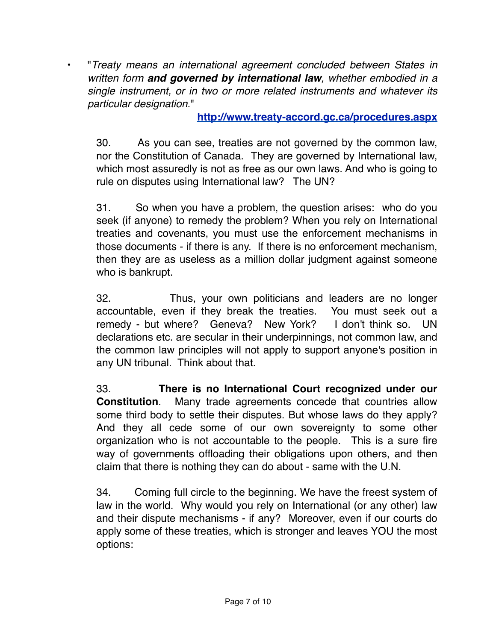• "*Treaty means an international agreement concluded between States in written form and governed by international law, whether embodied in a single instrument, or in two or more related instruments and whatever its particular designation*."

#### **<http://www.treaty-accord.gc.ca/procedures.aspx>**

30. As you can see, treaties are not governed by the common law, nor the Constitution of Canada. They are governed by International law, which most assuredly is not as free as our own laws. And who is going to rule on disputes using International law? The UN?

31. So when you have a problem, the question arises: who do you seek (if anyone) to remedy the problem? When you rely on International treaties and covenants, you must use the enforcement mechanisms in those documents - if there is any. If there is no enforcement mechanism, then they are as useless as a million dollar judgment against someone who is bankrupt.

32. Thus, your own politicians and leaders are no longer accountable, even if they break the treaties. You must seek out a remedy - but where? Geneva? New York? I don't think so. UN declarations etc. are secular in their underpinnings, not common law, and the common law principles will not apply to support anyone's position in any UN tribunal. Think about that.

33. **There is no International Court recognized under our Constitution**. Many trade agreements concede that countries allow some third body to settle their disputes. But whose laws do they apply? And they all cede some of our own sovereignty to some other organization who is not accountable to the people. This is a sure fire way of governments offloading their obligations upon others, and then claim that there is nothing they can do about - same with the U.N.

34. Coming full circle to the beginning. We have the freest system of law in the world. Why would you rely on International (or any other) law and their dispute mechanisms - if any? Moreover, even if our courts do apply some of these treaties, which is stronger and leaves YOU the most options: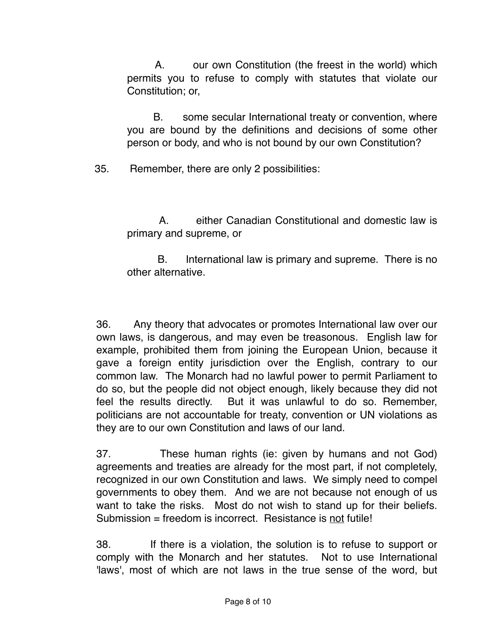A. our own Constitution (the freest in the world) which permits you to refuse to comply with statutes that violate our Constitution; or,

 B. some secular International treaty or convention, where you are bound by the definitions and decisions of some other person or body, and who is not bound by our own Constitution?

35. Remember, there are only 2 possibilities:

 A. either Canadian Constitutional and domestic law is primary and supreme, or

B. International law is primary and supreme. There is no other alternative.

36. Any theory that advocates or promotes International law over our own laws, is dangerous, and may even be treasonous. English law for example, prohibited them from joining the European Union, because it gave a foreign entity jurisdiction over the English, contrary to our common law. The Monarch had no lawful power to permit Parliament to do so, but the people did not object enough, likely because they did not feel the results directly. But it was unlawful to do so. Remember, politicians are not accountable for treaty, convention or UN violations as they are to our own Constitution and laws of our land.

37. These human rights (ie: given by humans and not God) agreements and treaties are already for the most part, if not completely, recognized in our own Constitution and laws. We simply need to compel governments to obey them. And we are not because not enough of us want to take the risks. Most do not wish to stand up for their beliefs. Submission = freedom is incorrect. Resistance is not futile!

38. If there is a violation, the solution is to refuse to support or comply with the Monarch and her statutes. Not to use International 'laws', most of which are not laws in the true sense of the word, but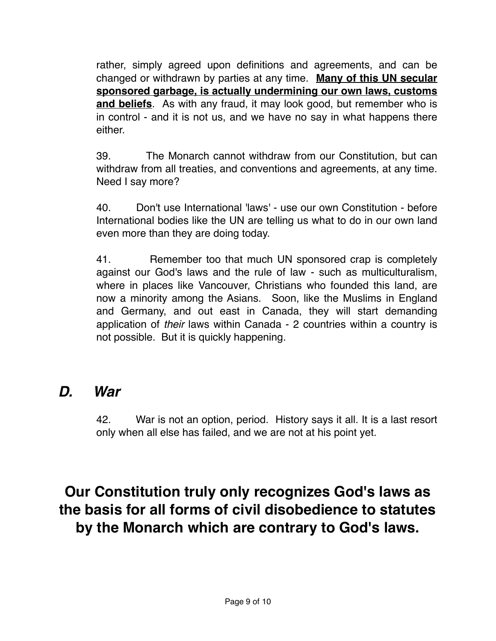rather, simply agreed upon definitions and agreements, and can be changed or withdrawn by parties at any time. **Many of this UN secular sponsored garbage, is actually undermining our own laws, customs and beliefs**. As with any fraud, it may look good, but remember who is in control - and it is not us, and we have no say in what happens there either.

39. The Monarch cannot withdraw from our Constitution, but can withdraw from all treaties, and conventions and agreements, at any time. Need I say more?

40. Don't use International 'laws' - use our own Constitution - before International bodies like the UN are telling us what to do in our own land even more than they are doing today.

41. Remember too that much UN sponsored crap is completely against our God's laws and the rule of law - such as multiculturalism, where in places like Vancouver, Christians who founded this land, are now a minority among the Asians. Soon, like the Muslims in England and Germany, and out east in Canada, they will start demanding application of *their* laws within Canada - 2 countries within a country is not possible. But it is quickly happening.

### *D.*  *War*

42. War is not an option, period. History says it all. It is a last resort only when all else has failed, and we are not at his point yet.

# **Our Constitution truly only recognizes God's laws as the basis for all forms of civil disobedience to statutes by the Monarch which are contrary to God's laws.**